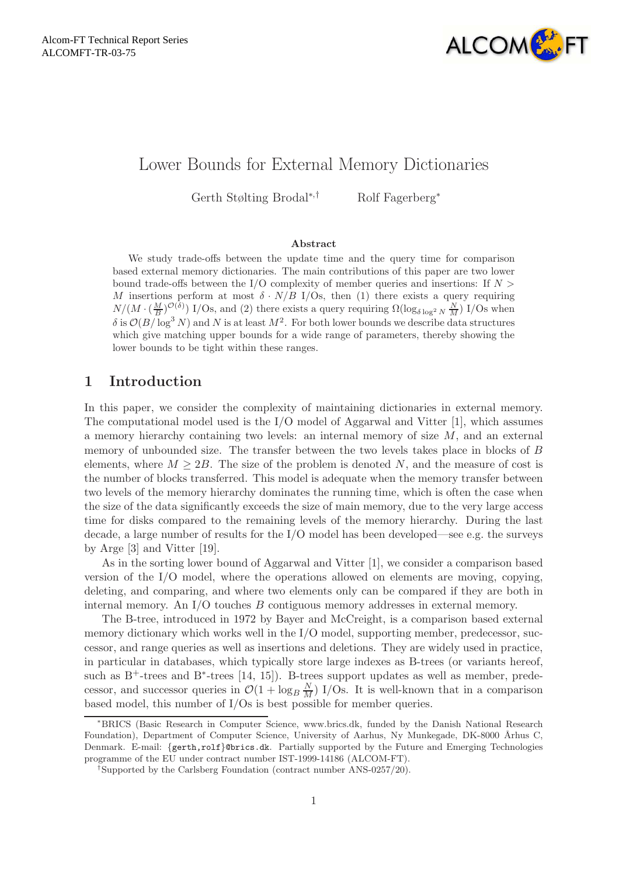

# Lower Bounds for External Memory Dictionaries

Gerth Stølting Brodal<sup>∗,†</sup> Rolf Fagerberg<sup>∗</sup>

#### Abstract

We study trade-offs between the update time and the query time for comparison based external memory dictionaries. The main contributions of this paper are two lower bound trade-offs between the I/O complexity of member queries and insertions: If  $N >$ M insertions perform at most  $\delta \cdot N/B$  I/Os, then (1) there exists a query requiring  $N/(M \cdot (\frac{M}{B})^{\mathcal{O}(\delta)})$  I/Os, and (2) there exists a query requiring  $\Omega(\log_{\delta \log^2 N} \frac{N}{M})$  I/Os when  $\delta$  is  $\mathcal{O}(B/\log^3 N)$  and N is at least  $M^2$ . For both lower bounds we describe data structures which give matching upper bounds for a wide range of parameters, thereby showing the lower bounds to be tight within these ranges.

# 1 Introduction

In this paper, we consider the complexity of maintaining dictionaries in external memory. The computational model used is the  $I/O$  model of Aggarwal and Vitter  $[1]$ , which assumes a memory hierarchy containing two levels: an internal memory of size  $M$ , and an external memory of unbounded size. The transfer between the two levels takes place in blocks of B elements, where  $M \geq 2B$ . The size of the problem is denoted N, and the measure of cost is the number of blocks transferred. This model is adequate when the memory transfer between two levels of the memory hierarchy dominates the running time, which is often the case when the size of the data significantly exceeds the size of main memory, due to the very large access time for disks compared to the remaining levels of the memory hierarchy. During the last decade, a large number of results for the I/O model has been developed—see e.g. the surveys by Arge [3] and Vitter [19].

As in the sorting lower bound of Aggarwal and Vitter [1], we consider a comparison based version of the I/O model, where the operations allowed on elements are moving, copying, deleting, and comparing, and where two elements only can be compared if they are both in internal memory. An I/O touches B contiguous memory addresses in external memory.

The B-tree, introduced in 1972 by Bayer and McCreight, is a comparison based external memory dictionary which works well in the I/O model, supporting member, predecessor, successor, and range queries as well as insertions and deletions. They are widely used in practice, in particular in databases, which typically store large indexes as B-trees (or variants hereof, such as  $B^+$ -trees and  $B^*$ -trees [14, 15]). B-trees support updates as well as member, predecessor, and successor queries in  $\mathcal{O}(1 + \log_B \frac{N}{M})$  I/Os. It is well-known that in a comparison based model, this number of I/Os is best possible for member queries.

<sup>∗</sup>BRICS (Basic Research in Computer Science, www.brics.dk, funded by the Danish National Research Foundation), Department of Computer Science, University of Aarhus, Ny Munkegade, DK-8000 Århus C, Denmark. E-mail: {gerth,rolf}@brics.dk. Partially supported by the Future and Emerging Technologies programme of the EU under contract number IST-1999-14186 (ALCOM-FT).

<sup>†</sup>Supported by the Carlsberg Foundation (contract number ANS-0257/20).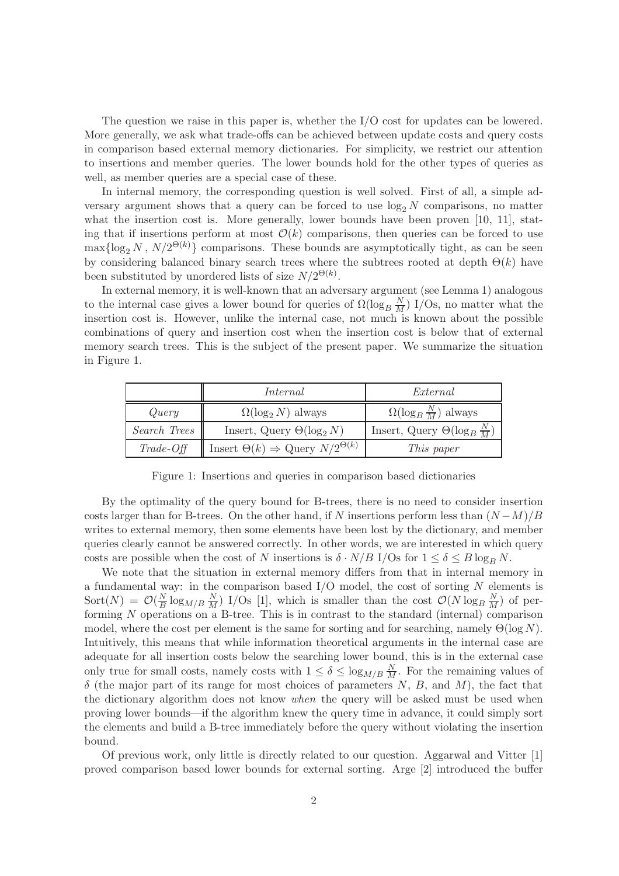The question we raise in this paper is, whether the I/O cost for updates can be lowered. More generally, we ask what trade-offs can be achieved between update costs and query costs in comparison based external memory dictionaries. For simplicity, we restrict our attention to insertions and member queries. The lower bounds hold for the other types of queries as well, as member queries are a special case of these.

In internal memory, the corresponding question is well solved. First of all, a simple adversary argument shows that a query can be forced to use  $log_2 N$  comparisons, no matter what the insertion cost is. More generally, lower bounds have been proven [10, 11], stating that if insertions perform at most  $\mathcal{O}(k)$  comparisons, then queries can be forced to use  $\max\{\log_2 N, N/2^{\Theta(k)}\}\)$  comparisons. These bounds are asymptotically tight, as can be seen by considering balanced binary search trees where the subtrees rooted at depth  $\Theta(k)$  have been substituted by unordered lists of size  $N/2^{\Theta(k)}$ .

In external memory, it is well-known that an adversary argument (see Lemma 1) analogous to the internal case gives a lower bound for queries of  $\Omega(\log_B \frac{N}{M})$  I/Os, no matter what the insertion cost is. However, unlike the internal case, not much is known about the possible combinations of query and insertion cost when the insertion cost is below that of external memory search trees. This is the subject of the present paper. We summarize the situation in Figure 1.

|              | Internal                                               | External                                   |
|--------------|--------------------------------------------------------|--------------------------------------------|
| Query        | $\Omega(\log_2 N)$ always                              | $\Omega(\log_B \frac{N}{M})$ always        |
| Search Trees | Insert, Query $\Theta(\log_2 N)$                       | Insert, Query $\Theta(\log_B \frac{N}{M})$ |
| $Trade-Off$  | Insert $\Theta(k) \Rightarrow$ Query $N/2^{\Theta(k)}$ | This paper                                 |

Figure 1: Insertions and queries in comparison based dictionaries

By the optimality of the query bound for B-trees, there is no need to consider insertion costs larger than for B-trees. On the other hand, if N insertions perform less than  $(N-M)/B$ writes to external memory, then some elements have been lost by the dictionary, and member queries clearly cannot be answered correctly. In other words, we are interested in which query costs are possible when the cost of N insertions is  $\delta \cdot N/B$  I/Os for  $1 \leq \delta \leq B \log_B N$ .

We note that the situation in external memory differs from that in internal memory in a fundamental way: in the comparison based  $I/O$  model, the cost of sorting  $N$  elements is  $Sort(N) = \mathcal{O}(\frac{N}{R})$  $\frac{N}{B} \log_{M/B} \frac{N}{M}$  I/Os [1], which is smaller than the cost  $\mathcal{O}(N \log_B \frac{N}{M})$  of performing N operations on a B-tree. This is in contrast to the standard (internal) comparison model, where the cost per element is the same for sorting and for searching, namely  $\Theta(\log N)$ . Intuitively, this means that while information theoretical arguments in the internal case are adequate for all insertion costs below the searching lower bound, this is in the external case only true for small costs, namely costs with  $1 \leq \delta \leq \log_{M/B} \frac{N}{M}$ . For the remaining values of  $\delta$  (the major part of its range for most choices of parameters N, B, and M), the fact that the dictionary algorithm does not know *when* the query will be asked must be used when proving lower bounds—if the algorithm knew the query time in advance, it could simply sort the elements and build a B-tree immediately before the query without violating the insertion bound.

Of previous work, only little is directly related to our question. Aggarwal and Vitter [1] proved comparison based lower bounds for external sorting. Arge [2] introduced the buffer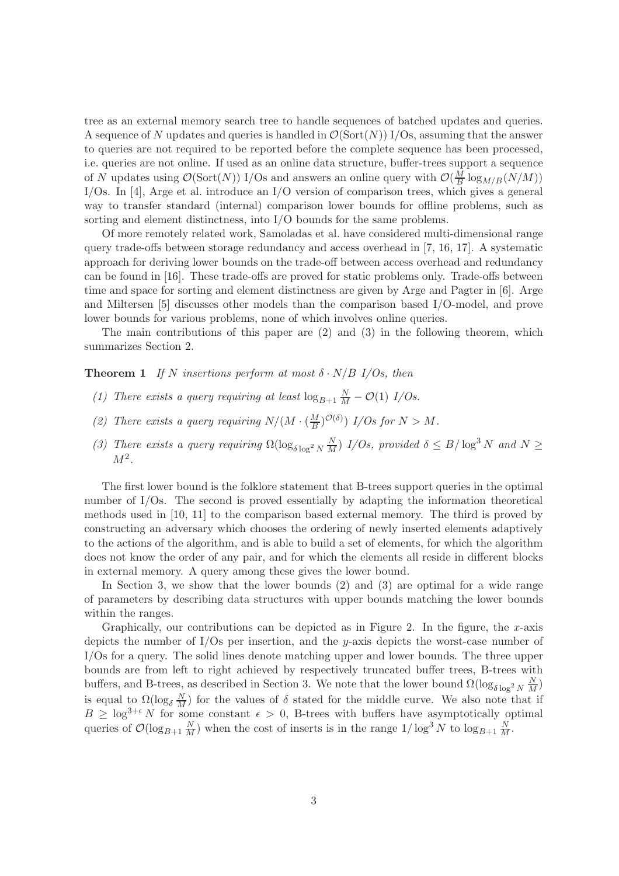tree as an external memory search tree to handle sequences of batched updates and queries. A sequence of N updates and queries is handled in  $\mathcal{O}(\text{Sort}(N))$  I/Os, assuming that the answer to queries are not required to be reported before the complete sequence has been processed, i.e. queries are not online. If used as an online data structure, buffer-trees support a sequence of N updates using  $\mathcal{O}(\text{Sort}(N))$  I/Os and answers an online query with  $\mathcal{O}(\frac{M}{R})$  $\frac{M}{B} \log_{M/B}(N/M))$ I/Os. In [4], Arge et al. introduce an I/O version of comparison trees, which gives a general way to transfer standard (internal) comparison lower bounds for offline problems, such as sorting and element distinctness, into I/O bounds for the same problems.

Of more remotely related work, Samoladas et al. have considered multi-dimensional range query trade-offs between storage redundancy and access overhead in [7, 16, 17]. A systematic approach for deriving lower bounds on the trade-off between access overhead and redundancy can be found in [16]. These trade-offs are proved for static problems only. Trade-offs between time and space for sorting and element distinctness are given by Arge and Pagter in [6]. Arge and Miltersen [5] discusses other models than the comparison based I/O-model, and prove lower bounds for various problems, none of which involves online queries.

The main contributions of this paper are (2) and (3) in the following theorem, which summarizes Section 2.

**Theorem 1** If N insertions perform at most  $\delta \cdot N/B$  I/Os, then

- (1) There exists a query requiring at least  $\log_{B+1} \frac{N}{M} \mathcal{O}(1)$  I/Os.
- (2) There exists a query requiring  $N/(M \cdot (\frac{M}{B}))$  $\frac{M}{B}$ )<sup> $\mathcal{O}(\delta)$ </sup> ] I/Os for  $N > M$ .
- (3) There exists a query requiring  $\Omega(\log_{\delta \log^2 N} \frac{N}{M})$  I/Os, provided  $\delta \leq B/\log^3 N$  and  $N \geq$  $M^2$ .

The first lower bound is the folklore statement that B-trees support queries in the optimal number of I/Os. The second is proved essentially by adapting the information theoretical methods used in [10, 11] to the comparison based external memory. The third is proved by constructing an adversary which chooses the ordering of newly inserted elements adaptively to the actions of the algorithm, and is able to build a set of elements, for which the algorithm does not know the order of any pair, and for which the elements all reside in different blocks in external memory. A query among these gives the lower bound.

In Section 3, we show that the lower bounds (2) and (3) are optimal for a wide range of parameters by describing data structures with upper bounds matching the lower bounds within the ranges.

Graphically, our contributions can be depicted as in Figure 2. In the figure, the x-axis depicts the number of  $I/Os$  per insertion, and the y-axis depicts the worst-case number of I/Os for a query. The solid lines denote matching upper and lower bounds. The three upper bounds are from left to right achieved by respectively truncated buffer trees, B-trees with buffers, and B-trees, as described in Section 3. We note that the lower bound  $\Omega(\log_{\delta \log^2 N} \frac{N}{M})$ is equal to  $\Omega(\log_{\delta} \frac{N}{M})$  for the values of  $\delta$  stated for the middle curve. We also note that if  $B \geq \log^{3+\epsilon} N$  for some constant  $\epsilon > 0$ , B-trees with buffers have asymptotically optimal queries of  $\mathcal{O}(\log_{B+1} \frac{N}{M})$  when the cost of inserts is in the range  $1/\log^3 N$  to  $\log_{B+1} \frac{N}{M}$ .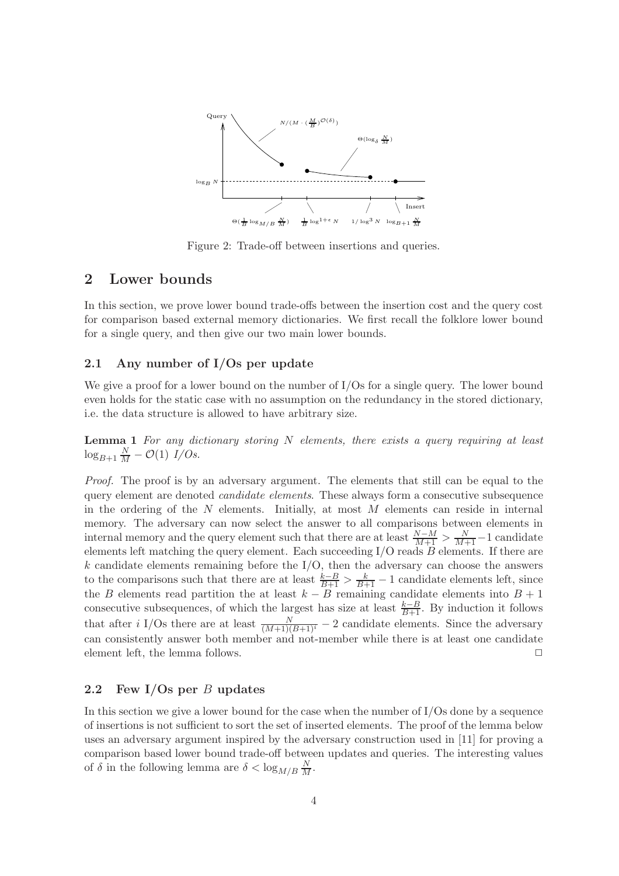

Figure 2: Trade-off between insertions and queries.

# 2 Lower bounds

In this section, we prove lower bound trade-offs between the insertion cost and the query cost for comparison based external memory dictionaries. We first recall the folklore lower bound for a single query, and then give our two main lower bounds.

### 2.1 Any number of I/Os per update

We give a proof for a lower bound on the number of I/Os for a single query. The lower bound even holds for the static case with no assumption on the redundancy in the stored dictionary, i.e. the data structure is allowed to have arbitrary size.

**Lemma 1** For any dictionary storing  $N$  elements, there exists a query requiring at least  $\log_{B+1} \frac{N}{M} - \mathcal{O}(1)$  I/Os.

Proof. The proof is by an adversary argument. The elements that still can be equal to the query element are denoted candidate elements. These always form a consecutive subsequence in the ordering of the  $N$  elements. Initially, at most  $M$  elements can reside in internal memory. The adversary can now select the answer to all comparisons between elements in internal memory and the query element such that there are at least  $\frac{N-M}{M+1} > \frac{N}{M+1}-1$  candidate elements left matching the query element. Each succeeding  $I/O$  reads  $B$  elements. If there are k candidate elements remaining before the  $I/O$ , then the adversary can choose the answers to the comparisons such that there are at least  $\frac{k-B}{B+1} > \frac{k}{B+1} - 1$  candidate elements left, since the B elements read partition the at least  $k - B$  remaining candidate elements into  $B + 1$ consecutive subsequences, of which the largest has size at least  $\frac{k-B}{B+1}$ . By induction it follows that after *i* I/Os there are at least  $\frac{N}{(M+1)(B+1)^i} - 2$  candidate elements. Since the adversary can consistently answer both member and not-member while there is at least one candidate element left, the lemma follows.  $\Box$ 

### 2.2 Few I/Os per  $B$  updates

In this section we give a lower bound for the case when the number of I/Os done by a sequence of insertions is not sufficient to sort the set of inserted elements. The proof of the lemma below uses an adversary argument inspired by the adversary construction used in [11] for proving a comparison based lower bound trade-off between updates and queries. The interesting values of  $\delta$  in the following lemma are  $\delta < \log_{M/B} \frac{N}{M}$ .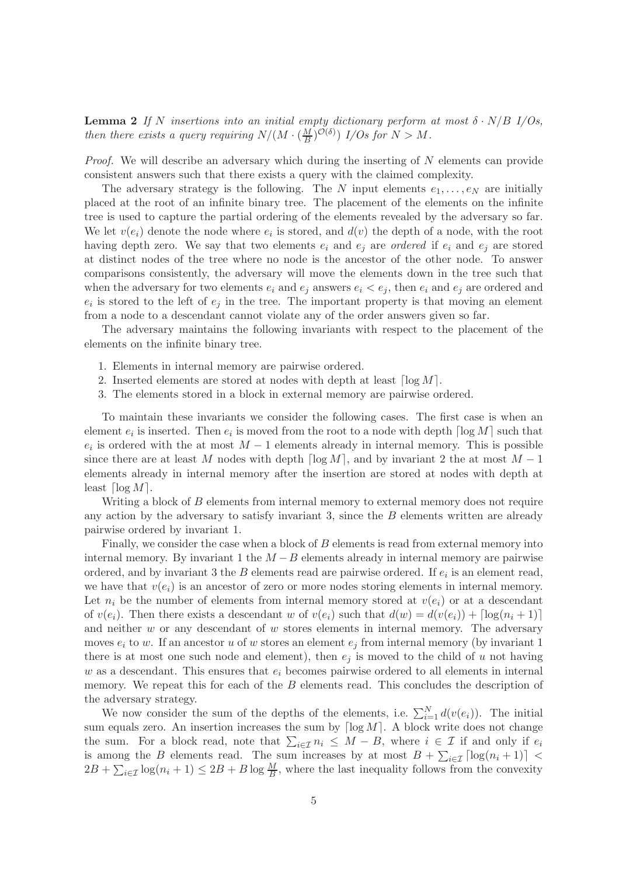**Lemma 2** If N insertions into an initial empty dictionary perform at most  $\delta \cdot N/B$  I/Os, then there exists a query requiring  $N/(M \cdot (\frac{M}{B}))$  $\frac{M}{B}$ )<sup> $\mathcal{O}(\delta)$ </sup>  $\quad$   $I/Os$  for  $N > M$ .

*Proof.* We will describe an adversary which during the inserting of  $N$  elements can provide consistent answers such that there exists a query with the claimed complexity.

The adversary strategy is the following. The N input elements  $e_1, \ldots, e_N$  are initially placed at the root of an infinite binary tree. The placement of the elements on the infinite tree is used to capture the partial ordering of the elements revealed by the adversary so far. We let  $v(e_i)$  denote the node where  $e_i$  is stored, and  $d(v)$  the depth of a node, with the root having depth zero. We say that two elements  $e_i$  and  $e_j$  are ordered if  $e_i$  and  $e_j$  are stored at distinct nodes of the tree where no node is the ancestor of the other node. To answer comparisons consistently, the adversary will move the elements down in the tree such that when the adversary for two elements  $e_i$  and  $e_j$  answers  $e_i < e_j$ , then  $e_i$  and  $e_j$  are ordered and  $e_i$  is stored to the left of  $e_j$  in the tree. The important property is that moving an element from a node to a descendant cannot violate any of the order answers given so far.

The adversary maintains the following invariants with respect to the placement of the elements on the infinite binary tree.

- 1. Elements in internal memory are pairwise ordered.
- 2. Inserted elements are stored at nodes with depth at least  $\lceil \log M \rceil$ .
- 3. The elements stored in a block in external memory are pairwise ordered.

To maintain these invariants we consider the following cases. The first case is when an element  $e_i$  is inserted. Then  $e_i$  is moved from the root to a node with depth  $\lceil \log M \rceil$  such that  $e_i$  is ordered with the at most  $M-1$  elements already in internal memory. This is possible since there are at least M nodes with depth  $\lceil \log M \rceil$ , and by invariant 2 the at most  $M - 1$ elements already in internal memory after the insertion are stored at nodes with depth at least  $\lceil \log M \rceil$ .

Writing a block of B elements from internal memory to external memory does not require any action by the adversary to satisfy invariant 3, since the  $B$  elements written are already pairwise ordered by invariant 1.

Finally, we consider the case when a block of B elements is read from external memory into internal memory. By invariant 1 the  $M - B$  elements already in internal memory are pairwise ordered, and by invariant 3 the  $B$  elements read are pairwise ordered. If  $e_i$  is an element read, we have that  $v(e_i)$  is an ancestor of zero or more nodes storing elements in internal memory. Let  $n_i$  be the number of elements from internal memory stored at  $v(e_i)$  or at a descendant of  $v(e_i)$ . Then there exists a descendant w of  $v(e_i)$  such that  $d(w) = d(v(e_i)) + \lceil \log(n_i + 1) \rceil$ and neither  $w$  or any descendant of  $w$  stores elements in internal memory. The adversary moves  $e_i$  to w. If an ancestor u of w stores an element  $e_j$  from internal memory (by invariant 1 there is at most one such node and element), then  $e_j$  is moved to the child of u not having w as a descendant. This ensures that  $e_i$  becomes pairwise ordered to all elements in internal memory. We repeat this for each of the  $B$  elements read. This concludes the description of the adversary strategy.

We now consider the sum of the depths of the elements, i.e.  $\sum_{i=1}^{N} d(v(e_i))$ . The initial sum equals zero. An insertion increases the sum by  $\lceil \log M \rceil$ . A block write does not change the sum. For a block read, note that  $\sum_{i\in\mathcal{I}} n_i \leq M-B$ , where  $i \in \mathcal{I}$  if and only if  $e_i$ is among the B elements read. The sum increases by at most  $B + \sum_{i \in \mathcal{I}} \lceil \log(n_i + 1) \rceil$  $2B + \sum_{i \in \mathcal{I}} \log(n_i + 1) \leq 2B + B \log \frac{M}{B}$ , where the last inequality follows from the convexity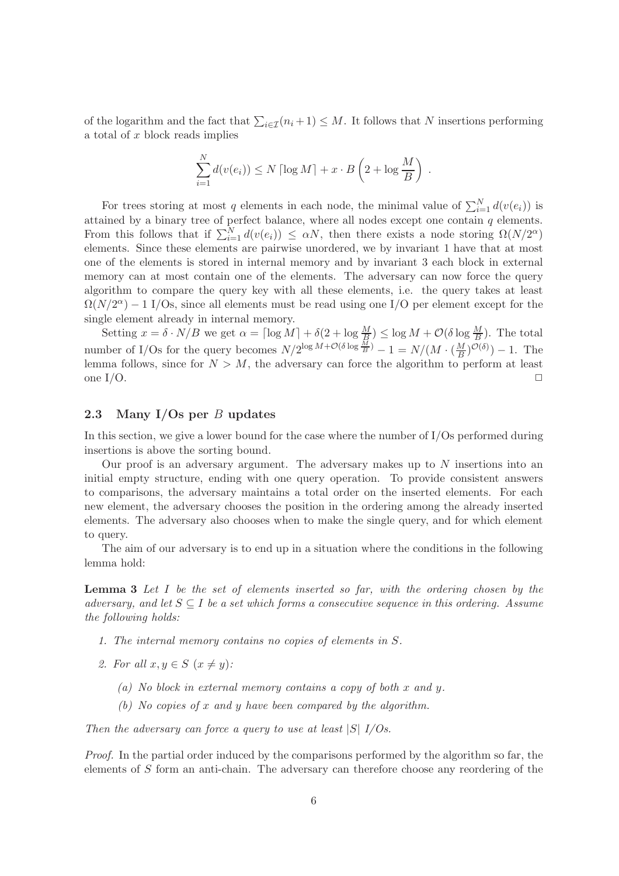of the logarithm and the fact that  $\sum_{i\in\mathcal{I}}(n_i+1)\leq M$ . It follows that N insertions performing a total of  $x$  block reads implies

$$
\sum_{i=1}^{N} d(v(e_i)) \le N \left[ \log M \right] + x \cdot B \left( 2 + \log \frac{M}{B} \right) .
$$

For trees storing at most q elements in each node, the minimal value of  $\sum_{i=1}^{N} d(v(e_i))$  is attained by a binary tree of perfect balance, where all nodes except one contain  $q$  elements. From this follows that if  $\sum_{i=1}^{N} d(v(e_i)) \leq \alpha N$ , then there exists a node storing  $\Omega(N/2^{\alpha})$ elements. Since these elements are pairwise unordered, we by invariant 1 have that at most one of the elements is stored in internal memory and by invariant 3 each block in external memory can at most contain one of the elements. The adversary can now force the query algorithm to compare the query key with all these elements, i.e. the query takes at least  $\Omega(N/2^{\alpha}) - 1$  I/Os, since all elements must be read using one I/O per element except for the single element already in internal memory.

Setting  $x = \delta \cdot N/B$  we get  $\alpha = \lceil \log M \rceil + \delta(2 + \log \frac{M}{B}) \le \log M + \mathcal{O}(\delta \log \frac{M}{B})$ . The total number of I/Os for the query becomes  $N/2^{\log M + \mathcal{O}(\delta \log \frac{M}{B})} - 1 = N/(M \cdot (\frac{M}{B}))$  $\frac{M}{B}$ ) $^{\mathcal{O}(\delta)}$ ) – 1. The lemma follows, since for  $N > M$ , the adversary can force the algorithm to perform at least one I/O.  $\Box$ 

### 2.3 Many I/Os per  $B$  updates

In this section, we give a lower bound for the case where the number of I/Os performed during insertions is above the sorting bound.

Our proof is an adversary argument. The adversary makes up to  $N$  insertions into an initial empty structure, ending with one query operation. To provide consistent answers to comparisons, the adversary maintains a total order on the inserted elements. For each new element, the adversary chooses the position in the ordering among the already inserted elements. The adversary also chooses when to make the single query, and for which element to query.

The aim of our adversary is to end up in a situation where the conditions in the following lemma hold:

**Lemma 3** Let  $I$  be the set of elements inserted so far, with the ordering chosen by the adversary, and let  $S \subseteq I$  be a set which forms a consecutive sequence in this ordering. Assume the following holds:

- 1. The internal memory contains no copies of elements in S.
- 2. For all  $x, y \in S$   $(x \neq y)$ :
	- (a) No block in external memory contains a copy of both x and y.
	- (b) No copies of x and y have been compared by the algorithm.

Then the adversary can force a query to use at least  $|S|$  I/Os.

Proof. In the partial order induced by the comparisons performed by the algorithm so far, the elements of S form an anti-chain. The adversary can therefore choose any reordering of the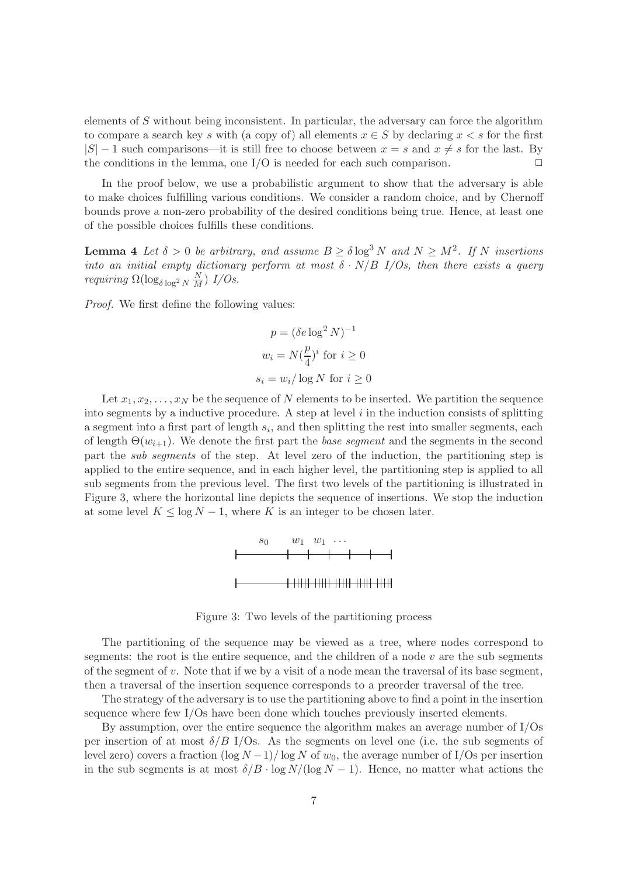elements of  $S$  without being inconsistent. In particular, the adversary can force the algorithm to compare a search key s with (a copy of) all elements  $x \in S$  by declaring  $x < s$  for the first  $|S| - 1$  such comparisons—it is still free to choose between  $x = s$  and  $x \neq s$  for the last. By the conditions in the lemma, one I/O is needed for each such comparison.  $\Box$ 

In the proof below, we use a probabilistic argument to show that the adversary is able to make choices fulfilling various conditions. We consider a random choice, and by Chernoff bounds prove a non-zero probability of the desired conditions being true. Hence, at least one of the possible choices fulfills these conditions.

**Lemma 4** Let  $\delta > 0$  be arbitrary, and assume  $B \geq \delta \log^3 N$  and  $N \geq M^2$ . If N insertions into an initial empty dictionary perform at most  $\delta \cdot N/B$  I/Os, then there exists a query *requiring*  $\Omega(\log_{\delta \log^2 N} \frac{N}{M})$  *I/Os.* 

Proof. We first define the following values:

$$
p = (\delta e \log^2 N)^{-1}
$$
  

$$
w_i = N(\frac{p}{4})^i
$$
 for  $i \ge 0$   

$$
s_i = w_i / \log N
$$
 for  $i \ge 0$ 

Let  $x_1, x_2, \ldots, x_N$  be the sequence of N elements to be inserted. We partition the sequence into segments by a inductive procedure. A step at level  $i$  in the induction consists of splitting a segment into a first part of length  $s_i$ , and then splitting the rest into smaller segments, each of length  $\Theta(w_{i+1})$ . We denote the first part the base segment and the segments in the second part the sub segments of the step. At level zero of the induction, the partitioning step is applied to the entire sequence, and in each higher level, the partitioning step is applied to all sub segments from the previous level. The first two levels of the partitioning is illustrated in Figure 3, where the horizontal line depicts the sequence of insertions. We stop the induction at some level  $K \leq \log N - 1$ , where K is an integer to be chosen later.



Figure 3: Two levels of the partitioning process

The partitioning of the sequence may be viewed as a tree, where nodes correspond to segments: the root is the entire sequence, and the children of a node  $v$  are the sub segments of the segment of v. Note that if we by a visit of a node mean the traversal of its base segment, then a traversal of the insertion sequence corresponds to a preorder traversal of the tree.

The strategy of the adversary is to use the partitioning above to find a point in the insertion sequence where few I/Os have been done which touches previously inserted elements.

By assumption, over the entire sequence the algorithm makes an average number of I/Os per insertion of at most  $\delta/B$  I/Os. As the segments on level one (i.e. the sub segments of level zero) covers a fraction  $(\log N - 1)/(\log N)$  of  $w_0$ , the average number of I/Os per insertion in the sub segments is at most  $\delta/B \cdot \log N/(\log N - 1)$ . Hence, no matter what actions the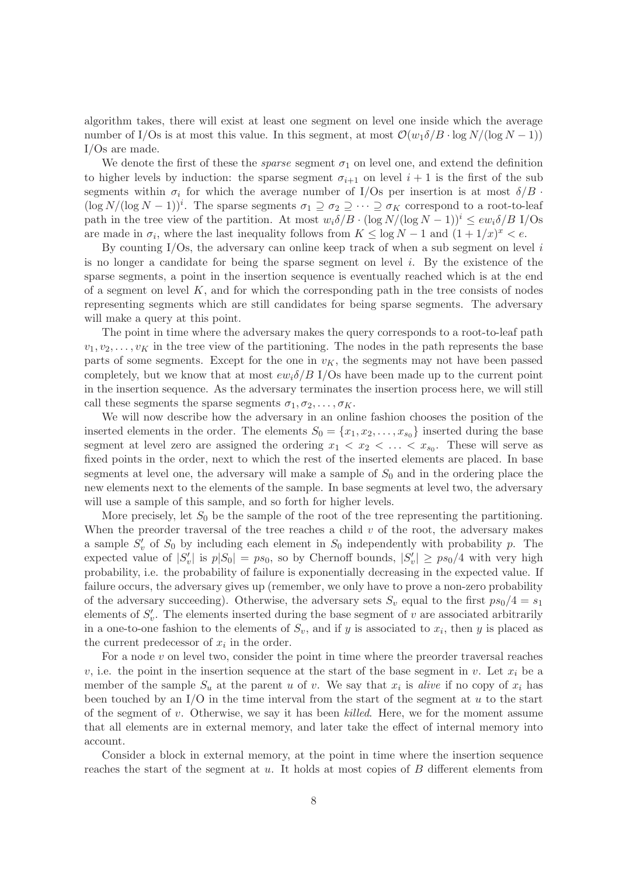algorithm takes, there will exist at least one segment on level one inside which the average number of I/Os is at most this value. In this segment, at most  $\mathcal{O}(w_1\delta/B \cdot \log N/(\log N - 1))$ I/Os are made.

We denote the first of these the *sparse* segment  $\sigma_1$  on level one, and extend the definition to higher levels by induction: the sparse segment  $\sigma_{i+1}$  on level  $i+1$  is the first of the sub segments within  $\sigma_i$  for which the average number of I/Os per insertion is at most  $\delta/B$ .  $(\log N/(\log N - 1))^i$ . The sparse segments  $\sigma_1 \supseteq \sigma_2 \supseteq \cdots \supseteq \sigma_K$  correspond to a root-to-leaf path in the tree view of the partition. At most  $w_i \delta/B \cdot (\log N/(\log N - 1))^i \leq e w_i \delta/B$  I/Os are made in  $\sigma_i$ , where the last inequality follows from  $K \leq \log N - 1$  and  $(1 + 1/x)^x < e$ .

By counting  $I/Os$ , the adversary can online keep track of when a sub segment on level i is no longer a candidate for being the sparse segment on level  $i$ . By the existence of the sparse segments, a point in the insertion sequence is eventually reached which is at the end of a segment on level  $K$ , and for which the corresponding path in the tree consists of nodes representing segments which are still candidates for being sparse segments. The adversary will make a query at this point.

The point in time where the adversary makes the query corresponds to a root-to-leaf path  $v_1, v_2, \ldots, v_K$  in the tree view of the partitioning. The nodes in the path represents the base parts of some segments. Except for the one in  $v<sub>K</sub>$ , the segments may not have been passed completely, but we know that at most  $ew_i\delta/B$  I/Os have been made up to the current point in the insertion sequence. As the adversary terminates the insertion process here, we will still call these segments the sparse segments  $\sigma_1, \sigma_2, \ldots, \sigma_K$ .

We will now describe how the adversary in an online fashion chooses the position of the inserted elements in the order. The elements  $S_0 = \{x_1, x_2, \ldots, x_{s_0}\}$  inserted during the base segment at level zero are assigned the ordering  $x_1 \lt x_2 \lt \ldots \lt x_{s_0}$ . These will serve as fixed points in the order, next to which the rest of the inserted elements are placed. In base segments at level one, the adversary will make a sample of  $S_0$  and in the ordering place the new elements next to the elements of the sample. In base segments at level two, the adversary will use a sample of this sample, and so forth for higher levels.

More precisely, let  $S_0$  be the sample of the root of the tree representing the partitioning. When the preorder traversal of the tree reaches a child  $v$  of the root, the adversary makes a sample  $S'_v$  of  $S_0$  by including each element in  $S_0$  independently with probability p. The expected value of  $|S'_v|$  is  $p|S_0| = ps_0$ , so by Chernoff bounds,  $|S'_v| \geq ps_0/4$  with very high probability, i.e. the probability of failure is exponentially decreasing in the expected value. If failure occurs, the adversary gives up (remember, we only have to prove a non-zero probability of the adversary succeeding). Otherwise, the adversary sets  $S_v$  equal to the first  $ps_0/4 = s_1$ elements of  $S'_v$ . The elements inserted during the base segment of v are associated arbitrarily in a one-to-one fashion to the elements of  $S_v$ , and if y is associated to  $x_i$ , then y is placed as the current predecessor of  $x_i$  in the order.

For a node  $v$  on level two, consider the point in time where the preorder traversal reaches v, i.e. the point in the insertion sequence at the start of the base segment in v. Let  $x_i$  be a member of the sample  $S_u$  at the parent u of v. We say that  $x_i$  is alive if no copy of  $x_i$  has been touched by an  $I/O$  in the time interval from the start of the segment at u to the start of the segment of v. Otherwise, we say it has been killed. Here, we for the moment assume that all elements are in external memory, and later take the effect of internal memory into account.

Consider a block in external memory, at the point in time where the insertion sequence reaches the start of the segment at  $u$ . It holds at most copies of  $B$  different elements from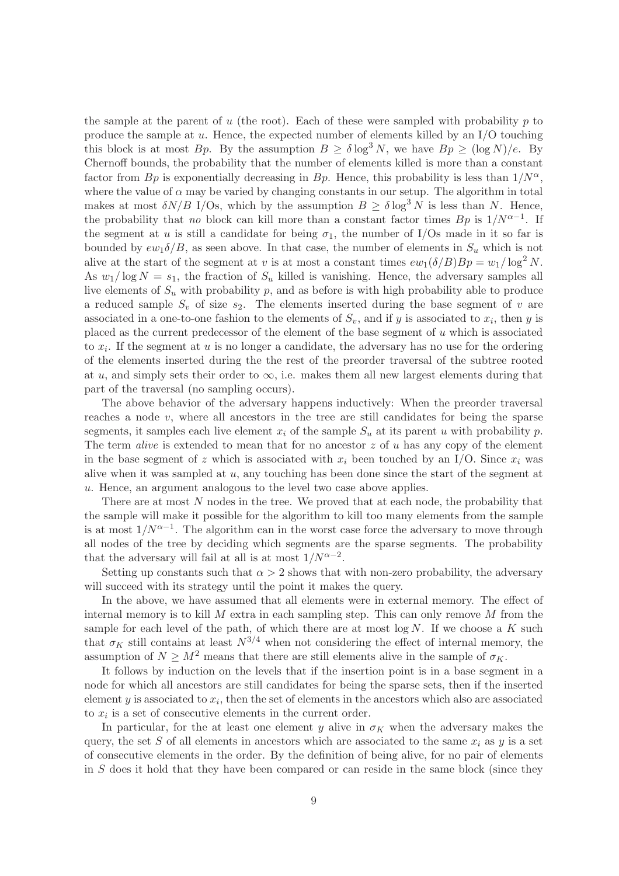the sample at the parent of u (the root). Each of these were sampled with probability p to produce the sample at  $u$ . Hence, the expected number of elements killed by an I/O touching this block is at most Bp. By the assumption  $B \geq \delta \log^3 N$ , we have  $Bp \geq (\log N)/e$ . By Chernoff bounds, the probability that the number of elements killed is more than a constant factor from Bp is exponentially decreasing in Bp. Hence, this probability is less than  $1/N^{\alpha}$ . where the value of  $\alpha$  may be varied by changing constants in our setup. The algorithm in total makes at most  $\delta N/B$  I/Os, which by the assumption  $B \geq \delta \log^3 N$  is less than N. Hence, the probability that no block can kill more than a constant factor times  $Bp$  is  $1/N^{\alpha-1}$ . If the segment at u is still a candidate for being  $\sigma_1$ , the number of I/Os made in it so far is bounded by  $ew_1\delta/B$ , as seen above. In that case, the number of elements in  $S_u$  which is not alive at the start of the segment at v is at most a constant times  $ew_1(\delta/B)Bp = w_1/\log^2 N$ . As  $w_1/\log N = s_1$ , the fraction of  $S_u$  killed is vanishing. Hence, the adversary samples all live elements of  $S_u$  with probability p, and as before is with high probability able to produce a reduced sample  $S_v$  of size  $s_2$ . The elements inserted during the base segment of v are associated in a one-to-one fashion to the elements of  $S_v$ , and if y is associated to  $x_i$ , then y is placed as the current predecessor of the element of the base segment of u which is associated to  $x_i$ . If the segment at u is no longer a candidate, the adversary has no use for the ordering of the elements inserted during the the rest of the preorder traversal of the subtree rooted at u, and simply sets their order to  $\infty$ , i.e. makes them all new largest elements during that part of the traversal (no sampling occurs).

The above behavior of the adversary happens inductively: When the preorder traversal reaches a node v, where all ancestors in the tree are still candidates for being the sparse segments, it samples each live element  $x_i$  of the sample  $S_u$  at its parent u with probability p. The term *alive* is extended to mean that for no ancestor  $z$  of  $u$  has any copy of the element in the base segment of z which is associated with  $x_i$  been touched by an I/O. Since  $x_i$  was alive when it was sampled at  $u$ , any touching has been done since the start of the segment at u. Hence, an argument analogous to the level two case above applies.

There are at most N nodes in the tree. We proved that at each node, the probability that the sample will make it possible for the algorithm to kill too many elements from the sample is at most  $1/N^{\alpha-1}$ . The algorithm can in the worst case force the adversary to move through all nodes of the tree by deciding which segments are the sparse segments. The probability that the adversary will fail at all is at most  $1/N^{\alpha-2}$ .

Setting up constants such that  $\alpha > 2$  shows that with non-zero probability, the adversary will succeed with its strategy until the point it makes the query.

In the above, we have assumed that all elements were in external memory. The effect of internal memory is to kill  $M$  extra in each sampling step. This can only remove  $M$  from the sample for each level of the path, of which there are at most  $\log N$ . If we choose a K such that  $\sigma_K$  still contains at least  $N^{3/4}$  when not considering the effect of internal memory, the assumption of  $N \geq M^2$  means that there are still elements alive in the sample of  $\sigma_K$ .

It follows by induction on the levels that if the insertion point is in a base segment in a node for which all ancestors are still candidates for being the sparse sets, then if the inserted element  $y$  is associated to  $x_i$ , then the set of elements in the ancestors which also are associated to  $x_i$  is a set of consecutive elements in the current order.

In particular, for the at least one element y alive in  $\sigma_K$  when the adversary makes the query, the set S of all elements in ancestors which are associated to the same  $x_i$  as y is a set of consecutive elements in the order. By the definition of being alive, for no pair of elements in S does it hold that they have been compared or can reside in the same block (since they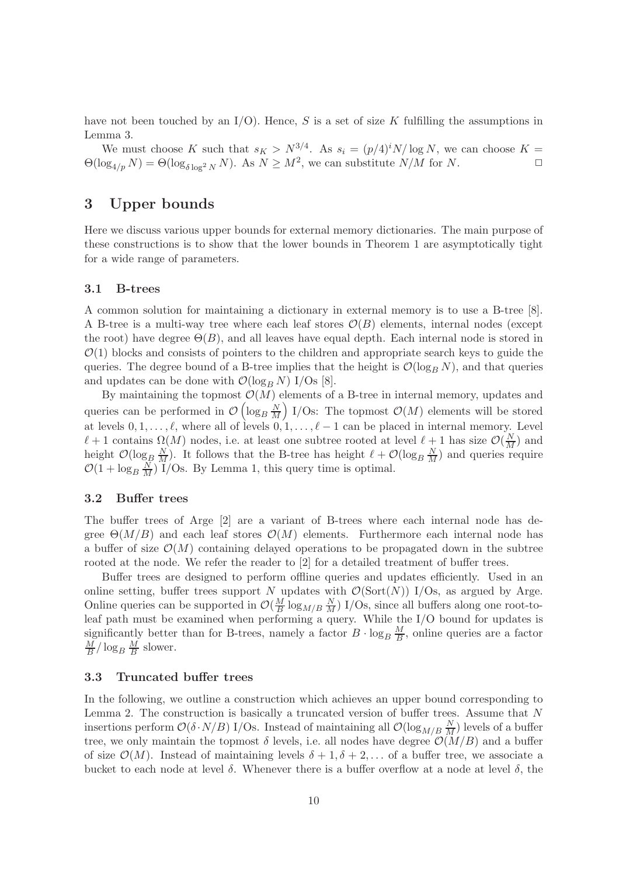have not been touched by an  $I/O$ ). Hence, S is a set of size K fulfilling the assumptions in Lemma 3.

We must choose K such that  $s_K > N^{3/4}$ . As  $s_i = (p/4)^i N / \log N$ , we can choose  $K =$  $\Theta(\log_{4/p} N) = \Theta(\log_{\delta \log^2 N} N)$ . As  $N \geq M^2$ , we can substitute  $N/M$  for N.

# 3 Upper bounds

Here we discuss various upper bounds for external memory dictionaries. The main purpose of these constructions is to show that the lower bounds in Theorem 1 are asymptotically tight for a wide range of parameters.

### 3.1 B-trees

A common solution for maintaining a dictionary in external memory is to use a B-tree [8]. A B-tree is a multi-way tree where each leaf stores  $\mathcal{O}(B)$  elements, internal nodes (except the root) have degree  $\Theta(B)$ , and all leaves have equal depth. Each internal node is stored in  $\mathcal{O}(1)$  blocks and consists of pointers to the children and appropriate search keys to guide the queries. The degree bound of a B-tree implies that the height is  $\mathcal{O}(\log_B N)$ , and that queries and updates can be done with  $\mathcal{O}(\log_B N)$  I/Os [8].

By maintaining the topmost  $\mathcal{O}(M)$  elements of a B-tree in internal memory, updates and queries can be performed in  $\mathcal{O}\left(\log_B \frac{N}{M}\right)$  $\left(\frac{N}{M}\right)$  I/Os: The topmost  $\mathcal{O}(M)$  elements will be stored at levels  $0, 1, \ldots, \ell$ , where all of levels  $0, 1, \ldots, \ell-1$  can be placed in internal memory. Level  $\ell+1$  contains  $\Omega(M)$  nodes, i.e. at least one subtree rooted at level  $\ell+1$  has size  $\mathcal{O}(\frac{N}{M})$  and height  $\mathcal{O}(\log_B \frac{N}{M})$ . It follows that the B-tree has height  $\ell + \mathcal{O}(\log_B \frac{N}{M})$  and queries require  $\mathcal{O}(1 + \log_B \frac{N}{M})$  I/Os. By Lemma 1, this query time is optimal.

#### 3.2 Buffer trees

The buffer trees of Arge [2] are a variant of B-trees where each internal node has degree  $\Theta(M/B)$  and each leaf stores  $\mathcal{O}(M)$  elements. Furthermore each internal node has a buffer of size  $\mathcal{O}(M)$  containing delayed operations to be propagated down in the subtree rooted at the node. We refer the reader to [2] for a detailed treatment of buffer trees.

Buffer trees are designed to perform offline queries and updates efficiently. Used in an online setting, buffer trees support N updates with  $\mathcal{O}(\text{Sort}(N))$  I/Os, as argued by Arge. Online queries can be supported in  $\mathcal{O}(\frac{M}{B})$  $\frac{M}{B}$ log<sub>M/B</sub> $\frac{N}{M}$ ) I/Os, since all buffers along one root-toleaf path must be examined when performing a query. While the I/O bound for updates is significantly better than for B-trees, namely a factor  $B \cdot \log_B \frac{M}{B}$  $\frac{M}{B}$ , online queries are a factor M  $\frac{M}{B}/\log_B \frac{M}{B}$  $\frac{M}{B}$  slower.

#### 3.3 Truncated buffer trees

In the following, we outline a construction which achieves an upper bound corresponding to Lemma 2. The construction is basically a truncated version of buffer trees. Assume that N insertions perform  $\mathcal{O}(\delta \cdot N/B)$  I/Os. Instead of maintaining all  $\mathcal{O}(\log_{M/B} \frac{N}{M})$  levels of a buffer tree, we only maintain the topmost  $\delta$  levels, i.e. all nodes have degree  $\mathcal{O}(M/B)$  and a buffer of size  $\mathcal{O}(M)$ . Instead of maintaining levels  $\delta + 1, \delta + 2, \ldots$  of a buffer tree, we associate a bucket to each node at level  $\delta$ . Whenever there is a buffer overflow at a node at level  $\delta$ , the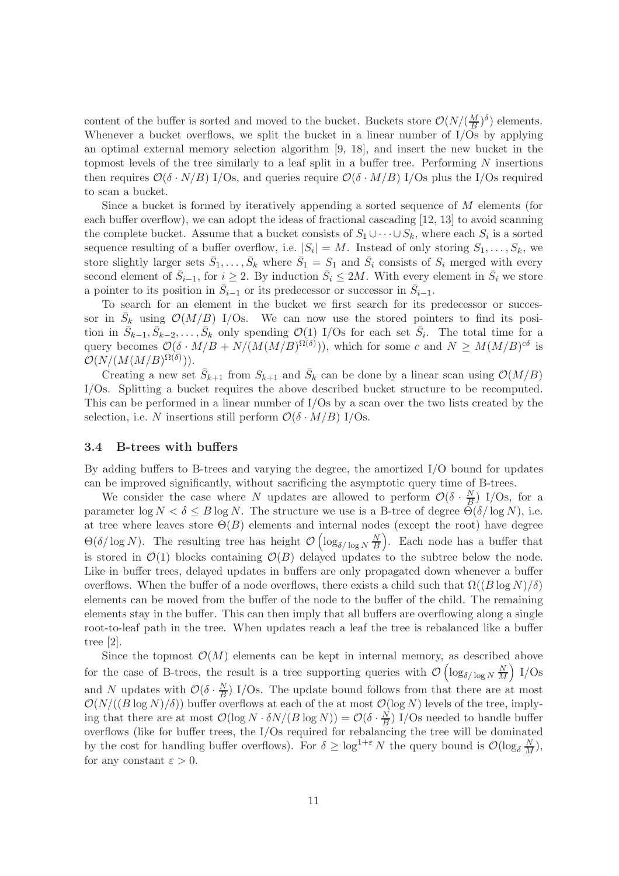content of the buffer is sorted and moved to the bucket. Buckets store  $\mathcal{O}(N/(\frac{M}{R})$  $\frac{M}{B}$ )<sup> $\delta$ </sup>) elements. Whenever a bucket overflows, we split the bucket in a linear number of  $I/\overline{Os}$  by applying an optimal external memory selection algorithm [9, 18], and insert the new bucket in the topmost levels of the tree similarly to a leaf split in a buffer tree. Performing  $N$  insertions then requires  $\mathcal{O}(\delta \cdot N/B)$  I/Os, and queries require  $\mathcal{O}(\delta \cdot M/B)$  I/Os plus the I/Os required to scan a bucket.

Since a bucket is formed by iteratively appending a sorted sequence of M elements (for each buffer overflow), we can adopt the ideas of fractional cascading [12, 13] to avoid scanning the complete bucket. Assume that a bucket consists of  $S_1 \cup \cdots \cup S_k$ , where each  $S_i$  is a sorted sequence resulting of a buffer overflow, i.e.  $|S_i| = M$ . Instead of only storing  $S_1, \ldots, S_k$ , we store slightly larger sets  $\bar{S}_1, \ldots, \bar{S}_k$  where  $\bar{S}_1 = S_1$  and  $\bar{S}_i$  consists of  $S_i$  merged with every second element of  $\bar{S}_{i-1}$ , for  $i \geq 2$ . By induction  $\bar{S}_i \leq 2M$ . With every element in  $\bar{S}_i$  we store a pointer to its position in  $\bar{S}_{i-1}$  or its predecessor or successor in  $\bar{S}_{i-1}$ .

To search for an element in the bucket we first search for its predecessor or successor in  $\bar{S}_k$  using  $\mathcal{O}(M/B)$  I/Os. We can now use the stored pointers to find its position in  $\bar{S}_{k-1}, \bar{S}_{k-2}, \ldots, \bar{S}_k$  only spending  $\mathcal{O}(1)$  I/Os for each set  $\bar{S}_i$ . The total time for a query becomes  $\mathcal{O}(\delta \cdot M/B + N/(M(M/B)^{\Omega(\delta)}))$ , which for some c and  $N \geq M(M/B)^{c\delta}$  is  $\mathcal{O}(N/(M(M/B)^{\Omega(\delta)})).$ 

Creating a new set  $\bar{S}_{k+1}$  from  $S_{k+1}$  and  $\bar{S}_k$  can be done by a linear scan using  $\mathcal{O}(M/B)$ I/Os. Splitting a bucket requires the above described bucket structure to be recomputed. This can be performed in a linear number of I/Os by a scan over the two lists created by the selection, i.e. N insertions still perform  $\mathcal{O}(\delta \cdot M/B)$  I/Os.

#### 3.4 B-trees with buffers

By adding buffers to B-trees and varying the degree, the amortized I/O bound for updates can be improved significantly, without sacrificing the asymptotic query time of B-trees.

We consider the case where N updates are allowed to perform  $\mathcal{O}(\delta \cdot \frac{N}{B})$  $\frac{N}{B}$ ) I/Os, for a parameter  $\log N < \delta \leq B \log N$ . The structure we use is a B-tree of degree  $\Theta(\delta/\log N)$ , i.e. at tree where leaves store  $\Theta(B)$  elements and internal nodes (except the root) have degree  $\Theta(\delta/\log N)$ . The resulting tree has height  $\mathcal{O}\left(\log_{\delta/\log N} \frac{N}{B}\right)$  $\left(\frac{N}{B}\right)$ . Each node has a buffer that is stored in  $\mathcal{O}(1)$  blocks containing  $\mathcal{O}(B)$  delayed updates to the subtree below the node. Like in buffer trees, delayed updates in buffers are only propagated down whenever a buffer overflows. When the buffer of a node overflows, there exists a child such that  $\Omega((B \log N)/\delta)$ elements can be moved from the buffer of the node to the buffer of the child. The remaining elements stay in the buffer. This can then imply that all buffers are overflowing along a single root-to-leaf path in the tree. When updates reach a leaf the tree is rebalanced like a buffer tree [2].

Since the topmost  $\mathcal{O}(M)$  elements can be kept in internal memory, as described above for the case of B-trees, the result is a tree supporting queries with  $\mathcal{O}\left(\log_{\delta/\log N} \frac{N}{M}\right)$  $\frac{N}{M}$ ) I/Os and N updates with  $\mathcal{O}(\delta \cdot \frac{N}{B})$  $\frac{N}{B}$ ) I/Os. The update bound follows from that there are at most  $\mathcal{O}(N/((B \log N)/\delta))$  buffer overflows at each of the at most  $\mathcal{O}(\log N)$  levels of the tree, implying that there are at most  $\mathcal{O}(\log N \cdot \delta N/(B \log N)) = \mathcal{O}(\delta \cdot \frac{N}{B})$  $\frac{N}{B}$ ) I/Os needed to handle buffer overflows (like for buffer trees, the I/Os required for rebalancing the tree will be dominated by the cost for handling buffer overflows). For  $\delta \geq \log^{1+\varepsilon} N$  the query bound is  $\mathcal{O}(\log_{\delta} \frac{N}{M}),$ for any constant  $\varepsilon > 0$ .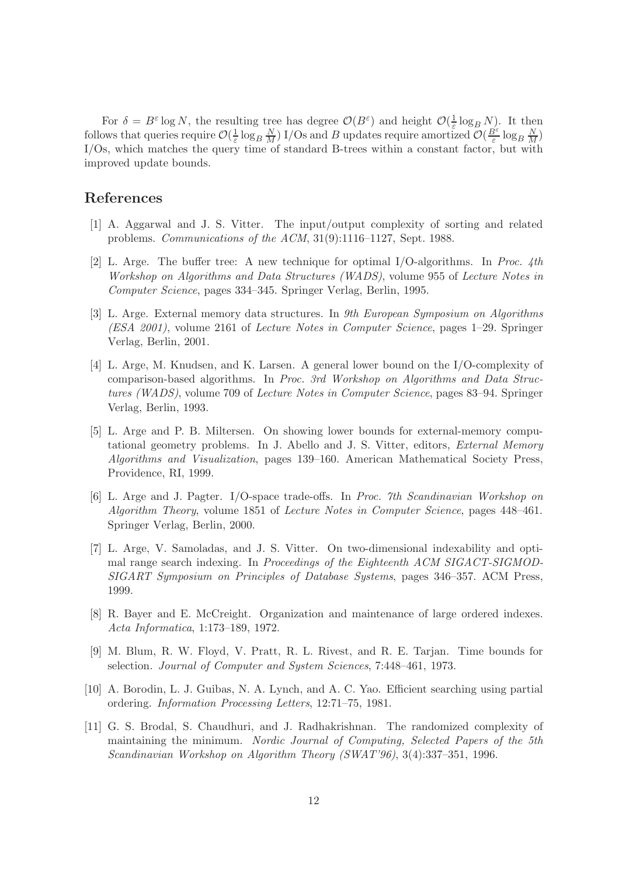For  $\delta = B^{\varepsilon} \log N$ , the resulting tree has degree  $\mathcal{O}(B^{\varepsilon})$  and height  $\mathcal{O}(\frac{1}{\varepsilon})$  $\frac{1}{\varepsilon} \log_B N$ . It then follows that queries require  $\mathcal{O}(\frac{1}{\varepsilon})$  $\frac{1}{\varepsilon} \log_B \frac{N}{M}$ ) I/Os and B updates require amortized  $\mathcal{O}(\frac{B^{\varepsilon}}{\varepsilon})$  $\frac{B^{\varepsilon}}{\varepsilon} \log_B \frac{N}{M}$ I/Os, which matches the query time of standard B-trees within a constant factor, but with improved update bounds.

# References

- [1] A. Aggarwal and J. S. Vitter. The input/output complexity of sorting and related problems. Communications of the ACM, 31(9):1116–1127, Sept. 1988.
- [2] L. Arge. The buffer tree: A new technique for optimal I/O-algorithms. In Proc. 4th Workshop on Algorithms and Data Structures (WADS), volume 955 of Lecture Notes in Computer Science, pages 334–345. Springer Verlag, Berlin, 1995.
- [3] L. Arge. External memory data structures. In 9th European Symposium on Algorithms (ESA 2001), volume 2161 of Lecture Notes in Computer Science, pages 1–29. Springer Verlag, Berlin, 2001.
- [4] L. Arge, M. Knudsen, and K. Larsen. A general lower bound on the I/O-complexity of comparison-based algorithms. In Proc. 3rd Workshop on Algorithms and Data Structures (WADS), volume 709 of Lecture Notes in Computer Science, pages 83–94. Springer Verlag, Berlin, 1993.
- [5] L. Arge and P. B. Miltersen. On showing lower bounds for external-memory computational geometry problems. In J. Abello and J. S. Vitter, editors, External Memory Algorithms and Visualization, pages 139–160. American Mathematical Society Press, Providence, RI, 1999.
- [6] L. Arge and J. Pagter. I/O-space trade-offs. In Proc. 7th Scandinavian Workshop on Algorithm Theory, volume 1851 of Lecture Notes in Computer Science, pages 448–461. Springer Verlag, Berlin, 2000.
- [7] L. Arge, V. Samoladas, and J. S. Vitter. On two-dimensional indexability and optimal range search indexing. In Proceedings of the Eighteenth ACM SIGACT-SIGMOD-SIGART Symposium on Principles of Database Systems, pages 346–357. ACM Press, 1999.
- [8] R. Bayer and E. McCreight. Organization and maintenance of large ordered indexes. Acta Informatica, 1:173–189, 1972.
- [9] M. Blum, R. W. Floyd, V. Pratt, R. L. Rivest, and R. E. Tarjan. Time bounds for selection. Journal of Computer and System Sciences, 7:448–461, 1973.
- [10] A. Borodin, L. J. Guibas, N. A. Lynch, and A. C. Yao. Efficient searching using partial ordering. Information Processing Letters, 12:71–75, 1981.
- [11] G. S. Brodal, S. Chaudhuri, and J. Radhakrishnan. The randomized complexity of maintaining the minimum. Nordic Journal of Computing, Selected Papers of the 5th Scandinavian Workshop on Algorithm Theory (SWAT'96), 3(4):337–351, 1996.